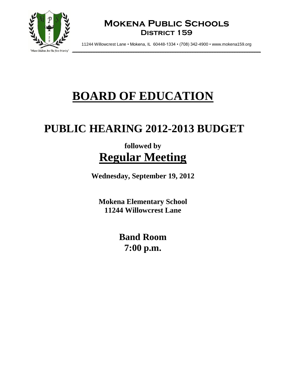

### **Mokena Public Schools District 159**

11244 Willowcrest Lane • Mokena, IL 60448-1334 • (708) 342-4900 • www.mokena159.org

# **BOARD OF EDUCATION**

## **PUBLIC HEARING 2012-2013 BUDGET**

### **followed by Regular Meeting**

**Wednesday, September 19, 2012**

**Mokena Elementary School 11244 Willowcrest Lane**

> **Band Room 7:00 p.m.**